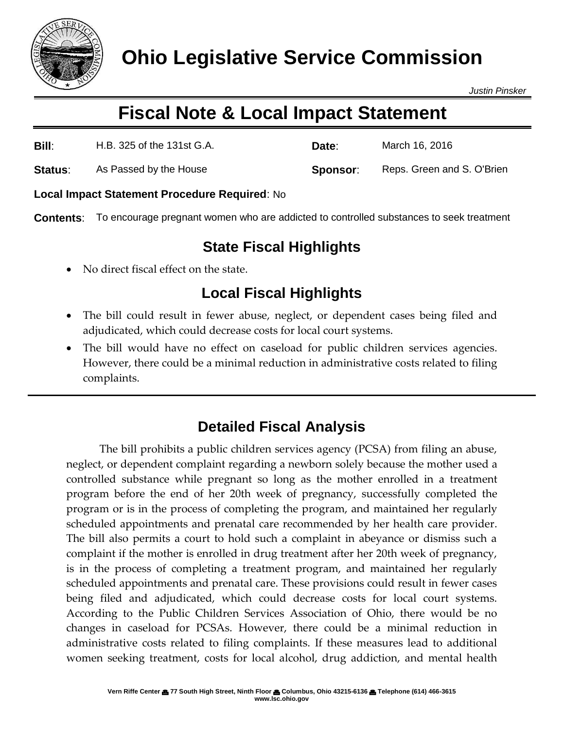

*Justin Pinsker*

# **Fiscal Note & Local Impact Statement**

| Bill:          | H.B. 325 of the 131st G.A. | Date:    | March 16, 2016             |
|----------------|----------------------------|----------|----------------------------|
| <b>Status:</b> | As Passed by the House     | Sponsor: | Reps. Green and S. O'Brien |

#### **Local Impact Statement Procedure Required**: No

**Contents**: To encourage pregnant women who are addicted to controlled substances to seek treatment

### **State Fiscal Highlights**

No direct fiscal effect on the state.

## **Local Fiscal Highlights**

- The bill could result in fewer abuse, neglect, or dependent cases being filed and adjudicated, which could decrease costs for local court systems.
- The bill would have no effect on caseload for public children services agencies. However, there could be a minimal reduction in administrative costs related to filing complaints.

#### **Detailed Fiscal Analysis**

The bill prohibits a public children services agency (PCSA) from filing an abuse, neglect, or dependent complaint regarding a newborn solely because the mother used a controlled substance while pregnant so long as the mother enrolled in a treatment program before the end of her 20th week of pregnancy, successfully completed the program or is in the process of completing the program, and maintained her regularly scheduled appointments and prenatal care recommended by her health care provider. The bill also permits a court to hold such a complaint in abeyance or dismiss such a complaint if the mother is enrolled in drug treatment after her 20th week of pregnancy, is in the process of completing a treatment program, and maintained her regularly scheduled appointments and prenatal care. These provisions could result in fewer cases being filed and adjudicated, which could decrease costs for local court systems. According to the Public Children Services Association of Ohio, there would be no changes in caseload for PCSAs. However, there could be a minimal reduction in administrative costs related to filing complaints. If these measures lead to additional women seeking treatment, costs for local alcohol, drug addiction, and mental health